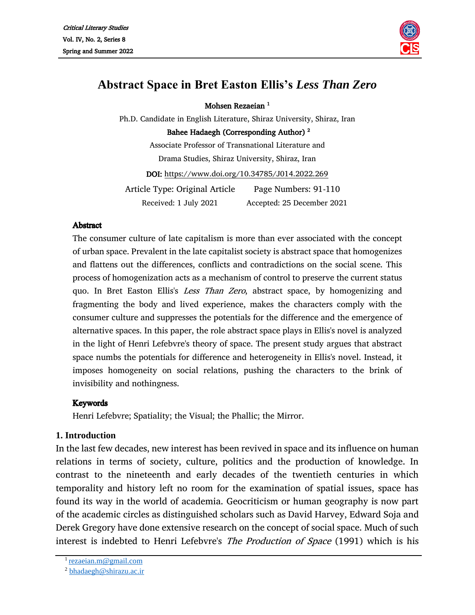

# **Abstract Space in Bret Easton Ellis's** *Less Than Zero*

Mohsen Rezaeian 1

Ph.D. Candidate in English Literature, Shiraz University, Shiraz, Iran Bahee Hadaegh (Corresponding Author) <sup>2</sup> Associate Professor of Transnational Literature and

Drama Studies, Shiraz University, Shiraz, Iran

DOI:<https://www.doi.org/10.34785/J014.2022.269>

Article Type: Original Article Page Numbers: 91-110 Received: 1 July 2021 Accepted: 25 December 2021

#### **Abstract**

The consumer culture of late capitalism is more than ever associated with the concept of urban space. Prevalent in the late capitalist society is abstract space that homogenizes and flattens out the differences, conflicts and contradictions on the social scene. This process of homogenization acts as a mechanism of control to preserve the current status quo. In Bret Easton Ellis's *Less Than Zero*, abstract space, by homogenizing and fragmenting the body and lived experience, makes the characters comply with the consumer culture and suppresses the potentials for the difference and the emergence of alternative spaces. In this paper, the role abstract space plays in Ellis's novel is analyzed in the light of Henri Lefebvre's theory of space. The present study argues that abstract space numbs the potentials for difference and heterogeneity in Ellis's novel. Instead, it imposes homogeneity on social relations, pushing the characters to the brink of invisibility and nothingness.

#### **Kevwords**

Henri Lefebvre; Spatiality; the Visual; the Phallic; the Mirror.

# **1. Introduction**

In the last few decades, new interest has been revived in space and its influence on human relations in terms of society, culture, politics and the production of knowledge. In contrast to the nineteenth and early decades of the twentieth centuries in which temporality and history left no room for the examination of spatial issues, space has found its way in the world of academia. Geocriticism or human geography is now part of the academic circles as distinguished scholars such as David Harvey, Edward Soja and Derek Gregory have done extensive research on the concept of social space. Much of such interest is indebted to Henri Lefebvre's *The Production of Space* (1991) which is his

<sup>1</sup>[rezaeian.m@gmail.com](mailto:rezaeian.m@gmail.com)

<sup>2</sup> [bhadaegh@shirazu.ac.ir](mailto:bhadaegh@shirazu.ac.ir)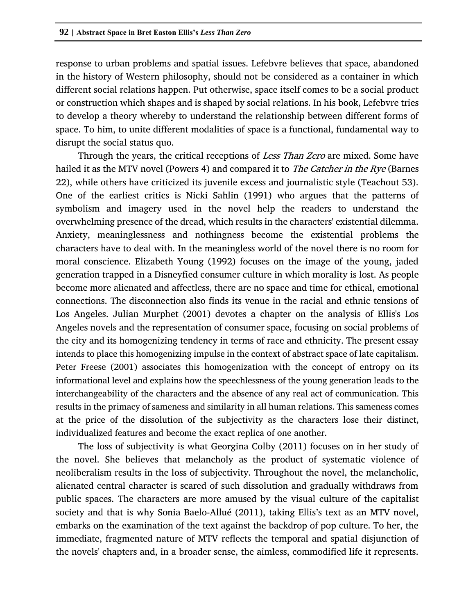response to urban problems and spatial issues. Lefebvre believes that space, abandoned in the history of Western philosophy, should not be considered as a container in which different social relations happen. Put otherwise, space itself comes to be a social product or construction which shapes and is shaped by social relations. In his book, Lefebvre tries to develop a theory whereby to understand the relationship between different forms of space. To him, to unite different modalities of space is a functional, fundamental way to disrupt the social status quo.

Through the years, the critical receptions of Less Than Zero are mixed. Some have hailed it as the MTV novel (Powers 4) and compared it to *The Catcher in the Rye* (Barnes 22), while others have criticized its juvenile excess and journalistic style (Teachout 53). One of the earliest critics is Nicki Sahlin (1991) who argues that the patterns of symbolism and imagery used in the novel help the readers to understand the overwhelming presence of the dread, which results in the characters' existential dilemma. Anxiety, meaninglessness and nothingness become the existential problems the characters have to deal with. In the meaningless world of the novel there is no room for moral conscience. Elizabeth Young (1992) focuses on the image of the young, jaded generation trapped in a Disneyfied consumer culture in which morality is lost. As people become more alienated and affectless, there are no space and time for ethical, emotional connections. The disconnection also finds its venue in the racial and ethnic tensions of Los Angeles. Julian Murphet (2001) devotes a chapter on the analysis of Ellis's Los Angeles novels and the representation of consumer space, focusing on social problems of the city and its homogenizing tendency in terms of race and ethnicity. The present essay intends to place this homogenizing impulse in the context of abstract space of late capitalism. Peter Freese (2001) associates this homogenization with the concept of entropy on its informational level and explains how the speechlessness of the young generation leads to the interchangeability of the characters and the absence of any real act of communication. This results in the primacy of sameness and similarity in all human relations. This sameness comes at the price of the dissolution of the subjectivity as the characters lose their distinct, individualized features and become the exact replica of one another.

The loss of subjectivity is what Georgina Colby (2011) focuses on in her study of the novel. She believes that melancholy as the product of systematic violence of neoliberalism results in the loss of subjectivity. Throughout the novel, the melancholic, alienated central character is scared of such dissolution and gradually withdraws from public spaces. The characters are more amused by the visual culture of the capitalist society and that is why Sonia Baelo-Allué (2011), taking Ellis's text as an MTV novel, embarks on the examination of the text against the backdrop of pop culture. To her, the immediate, fragmented nature of MTV reflects the temporal and spatial disjunction of the novels' chapters and, in a broader sense, the aimless, commodified life it represents.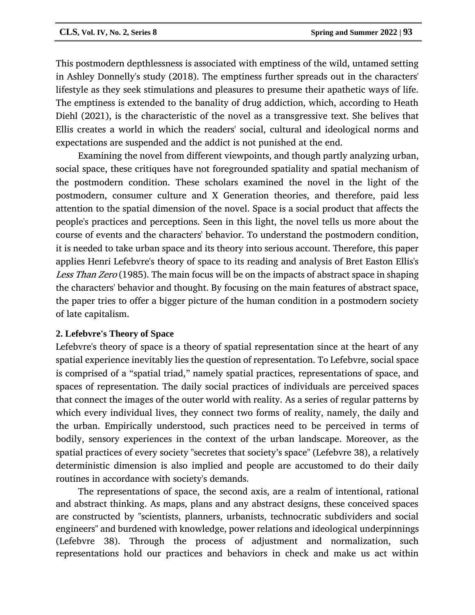This postmodern depthlessness is associated with emptiness of the wild, untamed setting in Ashley Donnelly's study (2018). The emptiness further spreads out in the characters' lifestyle as they seek stimulations and pleasures to presume their apathetic ways of life. The emptiness is extended to the banality of drug addiction, which, according to Heath Diehl (2021), is the characteristic of the novel as a transgressive text. She belives that Ellis creates a world in which the readers' social, cultural and ideological norms and expectations are suspended and the addict is not punished at the end.

Examining the novel from different viewpoints, and though partly analyzing urban, social space, these critiques have not foregrounded spatiality and spatial mechanism of the postmodern condition. These scholars examined the novel in the light of the postmodern, consumer culture and X Generation theories, and therefore, paid less attention to the spatial dimension of the novel. Space is a social product that affects the people's practices and perceptions. Seen in this light, the novel tells us more about the course of events and the characters' behavior. To understand the postmodern condition, it is needed to take urban space and its theory into serious account. Therefore, this paper applies Henri Lefebvre's theory of space to its reading and analysis of Bret Easton Ellis's Less Than Zero (1985). The main focus will be on the impacts of abstract space in shaping the characters' behavior and thought. By focusing on the main features of abstract space, the paper tries to offer a bigger picture of the human condition in a postmodern society of late capitalism.

# **2. Lefebvre's Theory of Space**

Lefebvre's theory of space is a theory of spatial representation since at the heart of any spatial experience inevitably lies the question of representation. To Lefebvre, social space is comprised of a "spatial triad," namely spatial practices, representations of space, and spaces of representation. The daily social practices of individuals are perceived spaces that connect the images of the outer world with reality. As a series of regular patterns by which every individual lives, they connect two forms of reality, namely, the daily and the urban. Empirically understood, such practices need to be perceived in terms of bodily, sensory experiences in the context of the urban landscape. Moreover, as the spatial practices of every society "secretes that society's space" (Lefebvre 38), a relatively deterministic dimension is also implied and people are accustomed to do their daily routines in accordance with society's demands.

The representations of space, the second axis, are a realm of intentional, rational and abstract thinking. As maps, plans and any abstract designs, these conceived spaces are constructed by "scientists, planners, urbanists, technocratic subdividers and social engineers" and burdened with knowledge, power relations and ideological underpinnings (Lefebvre 38). Through the process of adjustment and normalization, such representations hold our practices and behaviors in check and make us act within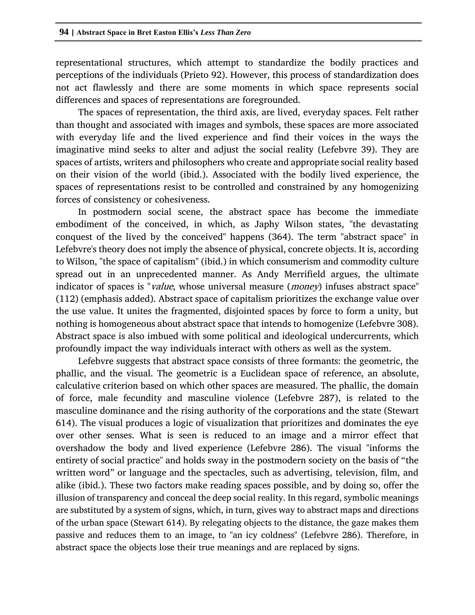representational structures, which attempt to standardize the bodily practices and perceptions of the individuals (Prieto 92). However, this process of standardization does not act flawlessly and there are some moments in which space represents social differences and spaces of representations are foregrounded.

The spaces of representation, the third axis, are lived, everyday spaces. Felt rather than thought and associated with images and symbols, these spaces are more associated with everyday life and the lived experience and find their voices in the ways the imaginative mind seeks to alter and adjust the social reality (Lefebvre 39). They are spaces of artists, writers and philosophers who create and appropriate social reality based on their vision of the world (ibid.). Associated with the bodily lived experience, the spaces of representations resist to be controlled and constrained by any homogenizing forces of consistency or cohesiveness.

In postmodern social scene, the abstract space has become the immediate embodiment of the conceived, in which, as Japhy Wilson states, "the devastating conquest of the lived by the conceived" happens (364). The term "abstract space" in Lefebvre's theory does not imply the absence of physical, concrete objects. It is, according to Wilson, "the space of capitalism" (ibid.) in which consumerism and commodity culture spread out in an unprecedented manner. As Andy Merrifield argues, the ultimate indicator of spaces is "*value*, whose universal measure (*money*) infuses abstract space" (112) (emphasis added). Abstract space of capitalism prioritizes the exchange value over the use value. It unites the fragmented, disjointed spaces by force to form a unity, but nothing is homogeneous about abstract space that intends to homogenize (Lefebvre 308). Abstract space is also imbued with some political and ideological undercurrents, which profoundly impact the way individuals interact with others as well as the system.

Lefebvre suggests that abstract space consists of three formants: the geometric, the phallic, and the visual. The geometric is a Euclidean space of reference, an absolute, calculative criterion based on which other spaces are measured. The phallic, the domain of force, male fecundity and masculine violence (Lefebvre 287), is related to the masculine dominance and the rising authority of the corporations and the state (Stewart 614). The visual produces a logic of visualization that prioritizes and dominates the eye over other senses. What is seen is reduced to an image and a mirror effect that overshadow the body and lived experience (Lefebvre 286). The visual "informs the entirety of social practice" and holds sway in the postmodern society on the basis of "the written word" or language and the spectacles, such as advertising, television, film, and alike (ibid.). These two factors make reading spaces possible, and by doing so, offer the illusion of transparency and conceal the deep social reality. In this regard, symbolic meanings are substituted by a system of signs, which, in turn, gives way to abstract maps and directions of the urban space (Stewart 614). By relegating objects to the distance, the gaze makes them passive and reduces them to an image, to "an icy coldness" (Lefebvre 286). Therefore, in abstract space the objects lose their true meanings and are replaced by signs.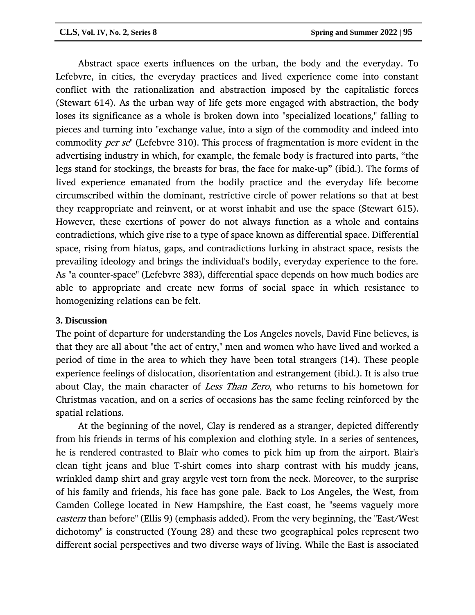Abstract space exerts influences on the urban, the body and the everyday. To Lefebvre, in cities, the everyday practices and lived experience come into constant conflict with the rationalization and abstraction imposed by the capitalistic forces (Stewart 614). As the urban way of life gets more engaged with abstraction, the body loses its significance as a whole is broken down into "specialized locations," falling to pieces and turning into "exchange value, into a sign of the commodity and indeed into commodity per se" (Lefebvre 310). This process of fragmentation is more evident in the advertising industry in which, for example, the female body is fractured into parts, "the legs stand for stockings, the breasts for bras, the face for make-up" (ibid.). The forms of lived experience emanated from the bodily practice and the everyday life become circumscribed within the dominant, restrictive circle of power relations so that at best they reappropriate and reinvent, or at worst inhabit and use the space (Stewart 615). However, these exertions of power do not always function as a whole and contains contradictions, which give rise to a type of space known as differential space. Differential space, rising from hiatus, gaps, and contradictions lurking in abstract space, resists the prevailing ideology and brings the individual's bodily, everyday experience to the fore. As "a counter-space" (Lefebvre 383), differential space depends on how much bodies are able to appropriate and create new forms of social space in which resistance to homogenizing relations can be felt.

# **3. Discussion**

The point of departure for understanding the Los Angeles novels, David Fine believes, is that they are all about "the act of entry," men and women who have lived and worked a period of time in the area to which they have been total strangers (14). These people experience feelings of dislocation, disorientation and estrangement (ibid.). It is also true about Clay, the main character of Less Than Zero, who returns to his hometown for Christmas vacation, and on a series of occasions has the same feeling reinforced by the spatial relations.

At the beginning of the novel, Clay is rendered as a stranger, depicted differently from his friends in terms of his complexion and clothing style. In a series of sentences, he is rendered contrasted to Blair who comes to pick him up from the airport. Blair's clean tight jeans and blue T-shirt comes into sharp contrast with his muddy jeans, wrinkled damp shirt and gray argyle vest torn from the neck. Moreover, to the surprise of his family and friends, his face has gone pale. Back to Los Angeles, the West, from Camden College located in New Hampshire, the East coast, he "seems vaguely more eastern than before" (Ellis 9) (emphasis added). From the very beginning, the "East/West dichotomy" is constructed (Young 28) and these two geographical poles represent two different social perspectives and two diverse ways of living. While the East is associated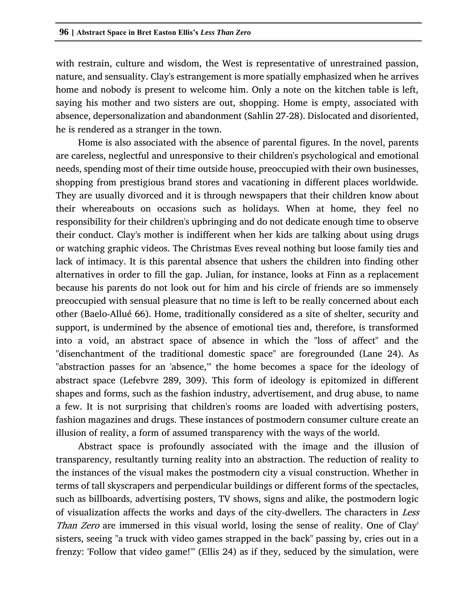with restrain, culture and wisdom, the West is representative of unrestrained passion, nature, and sensuality. Clay's estrangement is more spatially emphasized when he arrives home and nobody is present to welcome him. Only a note on the kitchen table is left, saying his mother and two sisters are out, shopping. Home is empty, associated with absence, depersonalization and abandonment (Sahlin 27-28). Dislocated and disoriented, he is rendered as a stranger in the town.

Home is also associated with the absence of parental figures. In the novel, parents are careless, neglectful and unresponsive to their children's psychological and emotional needs, spending most of their time outside house, preoccupied with their own businesses, shopping from prestigious brand stores and vacationing in different places worldwide. They are usually divorced and it is through newspapers that their children know about their whereabouts on occasions such as holidays. When at home, they feel no responsibility for their children's upbringing and do not dedicate enough time to observe their conduct. Clay's mother is indifferent when her kids are talking about using drugs or watching graphic videos. The Christmas Eves reveal nothing but loose family ties and lack of intimacy. It is this parental absence that ushers the children into finding other alternatives in order to fill the gap. Julian, for instance, looks at Finn as a replacement because his parents do not look out for him and his circle of friends are so immensely preoccupied with sensual pleasure that no time is left to be really concerned about each other (Baelo-Allué 66). Home, traditionally considered as a site of shelter, security and support, is undermined by the absence of emotional ties and, therefore, is transformed into a void, an abstract space of absence in which the "loss of affect" and the "disenchantment of the traditional domestic space" are foregrounded (Lane 24). As "abstraction passes for an 'absence,'" the home becomes a space for the ideology of abstract space (Lefebvre 289, 309). This form of ideology is epitomized in different shapes and forms, such as the fashion industry, advertisement, and drug abuse, to name a few. It is not surprising that children's rooms are loaded with advertising posters, fashion magazines and drugs. These instances of postmodern consumer culture create an illusion of reality, a form of assumed transparency with the ways of the world.

Abstract space is profoundly associated with the image and the illusion of transparency, resultantly turning reality into an abstraction. The reduction of reality to the instances of the visual makes the postmodern city a visual construction. Whether in terms of tall skyscrapers and perpendicular buildings or different forms of the spectacles, such as billboards, advertising posters, TV shows, signs and alike, the postmodern logic of visualization affects the works and days of the city-dwellers. The characters in Less Than Zero are immersed in this visual world, losing the sense of reality. One of Clay' sisters, seeing "a truck with video games strapped in the back" passing by, cries out in a frenzy: 'Follow that video game!'" (Ellis 24) as if they, seduced by the simulation, were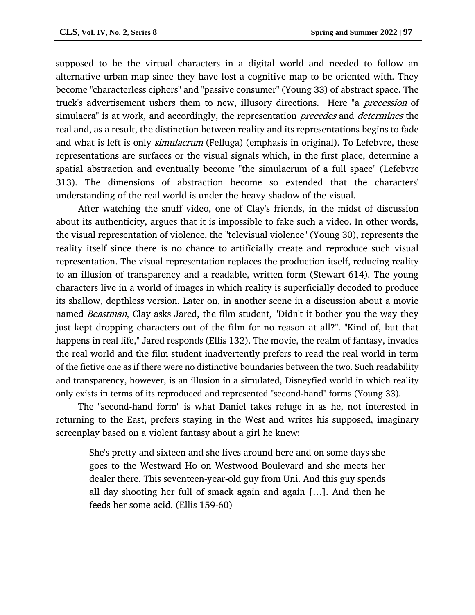supposed to be the virtual characters in a digital world and needed to follow an alternative urban map since they have lost a cognitive map to be oriented with. They become "characterless ciphers" and "passive consumer" (Young 33) of abstract space. The truck's advertisement ushers them to new, illusory directions. Here "a precession of simulacra" is at work, and accordingly, the representation *precedes* and *determines* the real and, as a result, the distinction between reality and its representations begins to fade and what is left is only *simulacrum* (Felluga) (emphasis in original). To Lefebvre, these representations are surfaces or the visual signals which, in the first place, determine a spatial abstraction and eventually become "the simulacrum of a full space" (Lefebvre 313). The dimensions of abstraction become so extended that the characters' understanding of the real world is under the heavy shadow of the visual.

After watching the snuff video, one of Clay's friends, in the midst of discussion about its authenticity, argues that it is impossible to fake such a video. In other words, the visual representation of violence, the "televisual violence" (Young 30), represents the reality itself since there is no chance to artificially create and reproduce such visual representation. The visual representation replaces the production itself, reducing reality to an illusion of transparency and a readable, written form (Stewart 614). The young characters live in a world of images in which reality is superficially decoded to produce its shallow, depthless version. Later on, in another scene in a discussion about a movie named *Beastman*, Clay asks Jared, the film student, "Didn't it bother you the way they just kept dropping characters out of the film for no reason at all?". "Kind of, but that happens in real life," Jared responds (Ellis 132). The movie, the realm of fantasy, invades the real world and the film student inadvertently prefers to read the real world in term of the fictive one as if there were no distinctive boundaries between the two. Such readability and transparency, however, is an illusion in a simulated, Disneyfied world in which reality only exists in terms of its reproduced and represented "second-hand" forms (Young 33).

The "second-hand form" is what Daniel takes refuge in as he, not interested in returning to the East, prefers staying in the West and writes his supposed, imaginary screenplay based on a violent fantasy about a girl he knew:

She's pretty and sixteen and she lives around here and on some days she goes to the Westward Ho on Westwood Boulevard and she meets her dealer there. This seventeen-year-old guy from Uni. And this guy spends all day shooting her full of smack again and again […]. And then he feeds her some acid. (Ellis 159-60)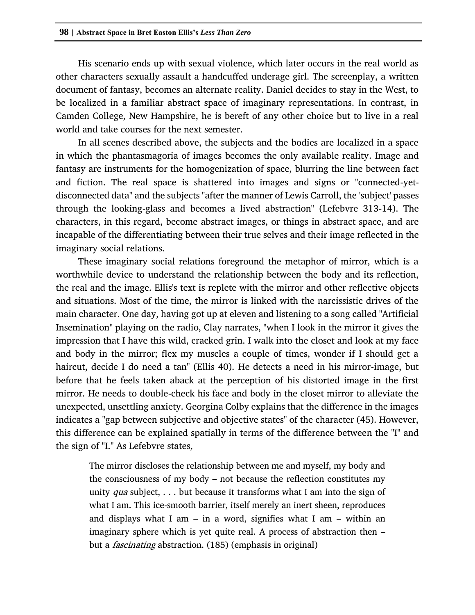His scenario ends up with sexual violence, which later occurs in the real world as other characters sexually assault a handcuffed underage girl. The screenplay, a written document of fantasy, becomes an alternate reality. Daniel decides to stay in the West, to be localized in a familiar abstract space of imaginary representations. In contrast, in Camden College, New Hampshire, he is bereft of any other choice but to live in a real world and take courses for the next semester.

In all scenes described above, the subjects and the bodies are localized in a space in which the phantasmagoria of images becomes the only available reality. Image and fantasy are instruments for the homogenization of space, blurring the line between fact and fiction. The real space is shattered into images and signs or "connected-yetdisconnected data" and the subjects "after the manner of Lewis Carroll, the 'subject' passes through the looking-glass and becomes a lived abstraction" (Lefebvre 313-14). The characters, in this regard, become abstract images, or things in abstract space, and are incapable of the differentiating between their true selves and their image reflected in the imaginary social relations.

These imaginary social relations foreground the metaphor of mirror, which is a worthwhile device to understand the relationship between the body and its reflection, the real and the image. Ellis's text is replete with the mirror and other reflective objects and situations. Most of the time, the mirror is linked with the narcissistic drives of the main character. One day, having got up at eleven and listening to a song called "Artificial Insemination" playing on the radio, Clay narrates, "when I look in the mirror it gives the impression that I have this wild, cracked grin. I walk into the closet and look at my face and body in the mirror; flex my muscles a couple of times, wonder if I should get a haircut, decide I do need a tan" (Ellis 40). He detects a need in his mirror-image, but before that he feels taken aback at the perception of his distorted image in the first mirror. He needs to double-check his face and body in the closet mirror to alleviate the unexpected, unsettling anxiety. Georgina Colby explains that the difference in the images indicates a "gap between subjective and objective states" of the character (45). However, this difference can be explained spatially in terms of the difference between the "I" and the sign of "I." As Lefebvre states,

The mirror discloses the relationship between me and myself, my body and the consciousness of my body – not because the reflection constitutes my unity *qua* subject,  $\ldots$  but because it transforms what I am into the sign of what I am. This ice-smooth barrier, itself merely an inert sheen, reproduces and displays what I am – in a word, signifies what I am – within an imaginary sphere which is yet quite real. A process of abstraction then – but a *fascinating* abstraction. (185) (emphasis in original)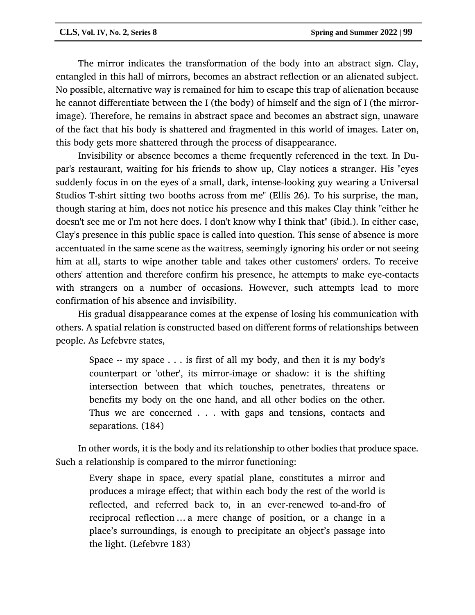The mirror indicates the transformation of the body into an abstract sign. Clay, entangled in this hall of mirrors, becomes an abstract reflection or an alienated subject. No possible, alternative way is remained for him to escape this trap of alienation because he cannot differentiate between the I (the body) of himself and the sign of I (the mirrorimage). Therefore, he remains in abstract space and becomes an abstract sign, unaware of the fact that his body is shattered and fragmented in this world of images. Later on, this body gets more shattered through the process of disappearance.

Invisibility or absence becomes a theme frequently referenced in the text. In Dupar's restaurant, waiting for his friends to show up, Clay notices a stranger. His "eyes suddenly focus in on the eyes of a small, dark, intense-looking guy wearing a Universal Studios T-shirt sitting two booths across from me" (Ellis 26). To his surprise, the man, though staring at him, does not notice his presence and this makes Clay think "either he doesn't see me or I'm not here does. I don't know why I think that" (ibid.). In either case, Clay's presence in this public space is called into question. This sense of absence is more accentuated in the same scene as the waitress, seemingly ignoring his order or not seeing him at all, starts to wipe another table and takes other customers' orders. To receive others' attention and therefore confirm his presence, he attempts to make eye-contacts with strangers on a number of occasions. However, such attempts lead to more confirmation of his absence and invisibility.

His gradual disappearance comes at the expense of losing his communication with others. A spatial relation is constructed based on different forms of relationships between people. As Lefebvre states,

Space -- my space . . . is first of all my body, and then it is my body's counterpart or 'other', its mirror-image or shadow: it is the shifting intersection between that which touches, penetrates, threatens or benefits my body on the one hand, and all other bodies on the other. Thus we are concerned . . . with gaps and tensions, contacts and separations. (184)

In other words, it is the body and its relationship to other bodies that produce space. Such a relationship is compared to the mirror functioning:

Every shape in space, every spatial plane, constitutes a mirror and produces a mirage effect; that within each body the rest of the world is reflected, and referred back to, in an ever-renewed to-and-fro of reciprocal reflection … a mere change of position, or a change in a place's surroundings, is enough to precipitate an object's passage into the light. (Lefebvre 183)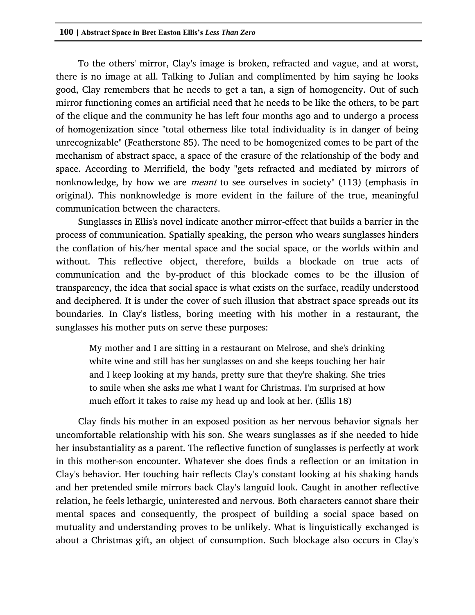To the others' mirror, Clay's image is broken, refracted and vague, and at worst, there is no image at all. Talking to Julian and complimented by him saying he looks good, Clay remembers that he needs to get a tan, a sign of homogeneity. Out of such mirror functioning comes an artificial need that he needs to be like the others, to be part of the clique and the community he has left four months ago and to undergo a process of homogenization since "total otherness like total individuality is in danger of being unrecognizable" (Featherstone 85). The need to be homogenized comes to be part of the mechanism of abstract space, a space of the erasure of the relationship of the body and space. According to Merrifield, the body "gets refracted and mediated by mirrors of nonknowledge, by how we are meant to see ourselves in society" (113) (emphasis in original). This nonknowledge is more evident in the failure of the true, meaningful communication between the characters.

Sunglasses in Ellis's novel indicate another mirror-effect that builds a barrier in the process of communication. Spatially speaking, the person who wears sunglasses hinders the conflation of his/her mental space and the social space, or the worlds within and without. This reflective object, therefore, builds a blockade on true acts of communication and the by-product of this blockade comes to be the illusion of transparency, the idea that social space is what exists on the surface, readily understood and deciphered. It is under the cover of such illusion that abstract space spreads out its boundaries. In Clay's listless, boring meeting with his mother in a restaurant, the sunglasses his mother puts on serve these purposes:

My mother and I are sitting in a restaurant on Melrose, and she's drinking white wine and still has her sunglasses on and she keeps touching her hair and I keep looking at my hands, pretty sure that they're shaking. She tries to smile when she asks me what I want for Christmas. I'm surprised at how much effort it takes to raise my head up and look at her. (Ellis 18)

Clay finds his mother in an exposed position as her nervous behavior signals her uncomfortable relationship with his son. She wears sunglasses as if she needed to hide her insubstantiality as a parent. The reflective function of sunglasses is perfectly at work in this mother-son encounter. Whatever she does finds a reflection or an imitation in Clay's behavior. Her touching hair reflects Clay's constant looking at his shaking hands and her pretended smile mirrors back Clay's languid look. Caught in another reflective relation, he feels lethargic, uninterested and nervous. Both characters cannot share their mental spaces and consequently, the prospect of building a social space based on mutuality and understanding proves to be unlikely. What is linguistically exchanged is about a Christmas gift, an object of consumption. Such blockage also occurs in Clay's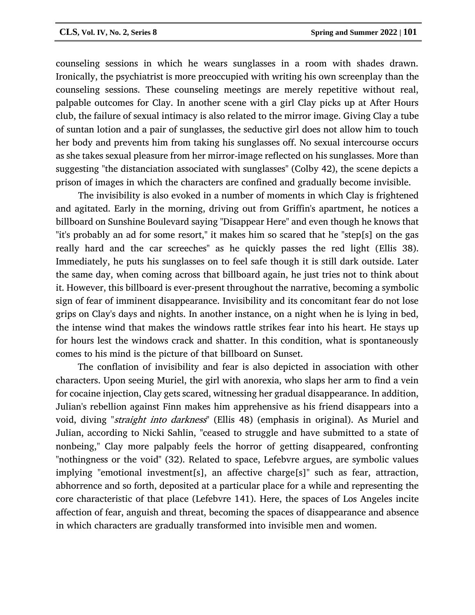counseling sessions in which he wears sunglasses in a room with shades drawn. Ironically, the psychiatrist is more preoccupied with writing his own screenplay than the counseling sessions. These counseling meetings are merely repetitive without real, palpable outcomes for Clay. In another scene with a girl Clay picks up at After Hours club, the failure of sexual intimacy is also related to the mirror image. Giving Clay a tube of suntan lotion and a pair of sunglasses, the seductive girl does not allow him to touch her body and prevents him from taking his sunglasses off. No sexual intercourse occurs as she takes sexual pleasure from her mirror-image reflected on his sunglasses. More than suggesting "the distanciation associated with sunglasses" (Colby 42), the scene depicts a prison of images in which the characters are confined and gradually become invisible.

The invisibility is also evoked in a number of moments in which Clay is frightened and agitated. Early in the morning, driving out from Griffin's apartment, he notices a billboard on Sunshine Boulevard saying "Disappear Here" and even though he knows that "it's probably an ad for some resort," it makes him so scared that he "step[s] on the gas really hard and the car screeches" as he quickly passes the red light (Ellis 38). Immediately, he puts his sunglasses on to feel safe though it is still dark outside. Later the same day, when coming across that billboard again, he just tries not to think about it. However, this billboard is ever-present throughout the narrative, becoming a symbolic sign of fear of imminent disappearance. Invisibility and its concomitant fear do not lose grips on Clay's days and nights. In another instance, on a night when he is lying in bed, the intense wind that makes the windows rattle strikes fear into his heart. He stays up for hours lest the windows crack and shatter. In this condition, what is spontaneously comes to his mind is the picture of that billboard on Sunset.

The conflation of invisibility and fear is also depicted in association with other characters. Upon seeing Muriel, the girl with anorexia, who slaps her arm to find a vein for cocaine injection, Clay gets scared, witnessing her gradual disappearance. In addition, Julian's rebellion against Finn makes him apprehensive as his friend disappears into a void, diving "straight into darkness" (Ellis 48) (emphasis in original). As Muriel and Julian, according to Nicki Sahlin, "ceased to struggle and have submitted to a state of nonbeing," Clay more palpably feels the horror of getting disappeared, confronting "nothingness or the void" (32). Related to space, Lefebvre argues, are symbolic values implying "emotional investment[s], an affective charge[s]" such as fear, attraction, abhorrence and so forth, deposited at a particular place for a while and representing the core characteristic of that place (Lefebvre 141). Here, the spaces of Los Angeles incite affection of fear, anguish and threat, becoming the spaces of disappearance and absence in which characters are gradually transformed into invisible men and women.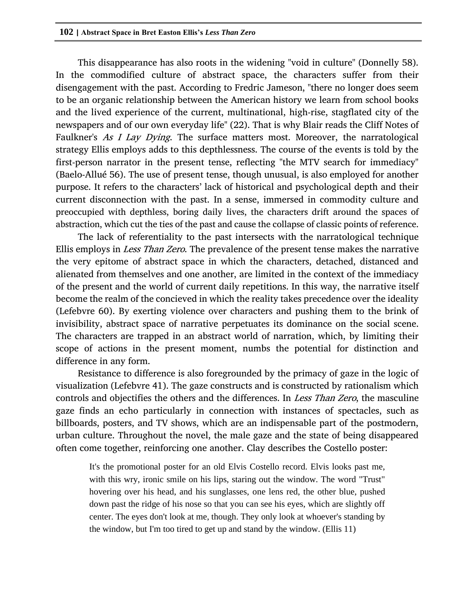This disappearance has also roots in the widening "void in culture" (Donnelly 58). In the commodified culture of abstract space, the characters suffer from their disengagement with the past. According to Fredric Jameson, "there no longer does seem to be an organic relationship between the American history we learn from school books and the lived experience of the current, multinational, high-rise, stagflated city of the newspapers and of our own everyday life" (22). That is why Blair reads the Cliff Notes of Faulkner's As I Lay Dying. The surface matters most. Moreover, the narratological strategy Ellis employs adds to this depthlessness. The course of the events is told by the first-person narrator in the present tense, reflecting "the MTV search for immediacy" (Baelo-Allué 56). The use of present tense, though unusual, is also employed for another purpose. It refers to the characters' lack of historical and psychological depth and their current disconnection with the past. In a sense, immersed in commodity culture and preoccupied with depthless, boring daily lives, the characters drift around the spaces of abstraction, which cut the ties of the past and cause the collapse of classic points of reference.

The lack of referentiality to the past intersects with the narratological technique Ellis employs in *Less Than Zero*. The prevalence of the present tense makes the narrative the very epitome of abstract space in which the characters, detached, distanced and alienated from themselves and one another, are limited in the context of the immediacy of the present and the world of current daily repetitions. In this way, the narrative itself become the realm of the concieved in which the reality takes precedence over the ideality (Lefebvre 60). By exerting violence over characters and pushing them to the brink of invisibility, abstract space of narrative perpetuates its dominance on the social scene. The characters are trapped in an abstract world of narration, which, by limiting their scope of actions in the present moment, numbs the potential for distinction and difference in any form.

Resistance to difference is also foregrounded by the primacy of gaze in the logic of visualization (Lefebvre 41). The gaze constructs and is constructed by rationalism which controls and objectifies the others and the differences. In Less Than Zero, the masculine gaze finds an echo particularly in connection with instances of spectacles, such as billboards, posters, and TV shows, which are an indispensable part of the postmodern, urban culture. Throughout the novel, the male gaze and the state of being disappeared often come together, reinforcing one another. Clay describes the Costello poster:

It's the promotional poster for an old Elvis Costello record. Elvis looks past me, with this wry, ironic smile on his lips, staring out the window. The word "Trust" hovering over his head, and his sunglasses, one lens red, the other blue, pushed down past the ridge of his nose so that you can see his eyes, which are slightly off center. The eyes don't look at me, though. They only look at whoever's standing by the window, but I'm too tired to get up and stand by the window. (Ellis 11)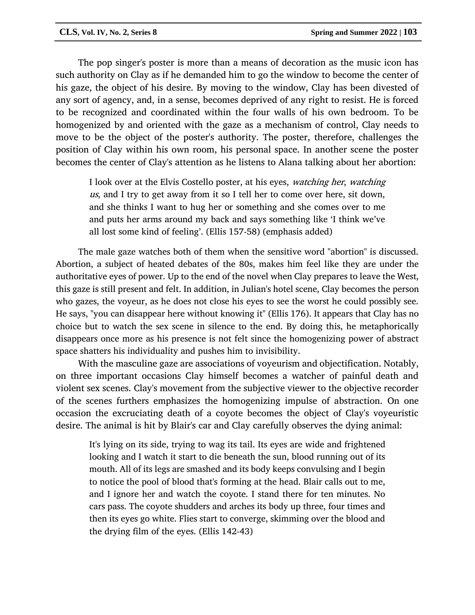The pop singer's poster is more than a means of decoration as the music icon has such authority on Clay as if he demanded him to go the window to become the center of his gaze, the object of his desire. By moving to the window, Clay has been divested of any sort of agency, and, in a sense, becomes deprived of any right to resist. He is forced to be recognized and coordinated within the four walls of his own bedroom. To be homogenized by and oriented with the gaze as a mechanism of control, Clay needs to move to be the object of the poster's authority. The poster, therefore, challenges the position of Clay within his own room, his personal space. In another scene the poster becomes the center of Clay's attention as he listens to Alana talking about her abortion:

I look over at the Elvis Costello poster, at his eyes, watching her, watching us, and I try to get away from it so I tell her to come over here, sit down, and she thinks I want to hug her or something and she comes over to me and puts her arms around my back and says something like 'I think we've all lost some kind of feeling'. (Ellis 157-58) (emphasis added)

The male gaze watches both of them when the sensitive word "abortion" is discussed. Abortion, a subject of heated debates of the 80s, makes him feel like they are under the authoritative eyes of power. Up to the end of the novel when Clay prepares to leave the West, this gaze is still present and felt. In addition, in Julian's hotel scene, Clay becomes the person who gazes, the voyeur, as he does not close his eyes to see the worst he could possibly see. He says, "you can disappear here without knowing it" (Ellis 176). It appears that Clay has no choice but to watch the sex scene in silence to the end. By doing this, he metaphorically disappears once more as his presence is not felt since the homogenizing power of abstract space shatters his individuality and pushes him to invisibility.

With the masculine gaze are associations of voyeurism and objectification. Notably, on three important occasions Clay himself becomes a watcher of painful death and violent sex scenes. Clay's movement from the subjective viewer to the objective recorder of the scenes furthers emphasizes the homogenizing impulse of abstraction. On one occasion the excruciating death of a coyote becomes the object of Clay's voyeuristic desire. The animal is hit by Blair's car and Clay carefully observes the dying animal:

It's lying on its side, trying to wag its tail. Its eyes are wide and frightened looking and I watch it start to die beneath the sun, blood running out of its mouth. All of its legs are smashed and its body keeps convulsing and I begin to notice the pool of blood that's forming at the head. Blair calls out to me, and I ignore her and watch the coyote. I stand there for ten minutes. No cars pass. The coyote shudders and arches its body up three, four times and then its eyes go white. Flies start to converge, skimming over the blood and the drying film of the eyes. (Ellis 142-43)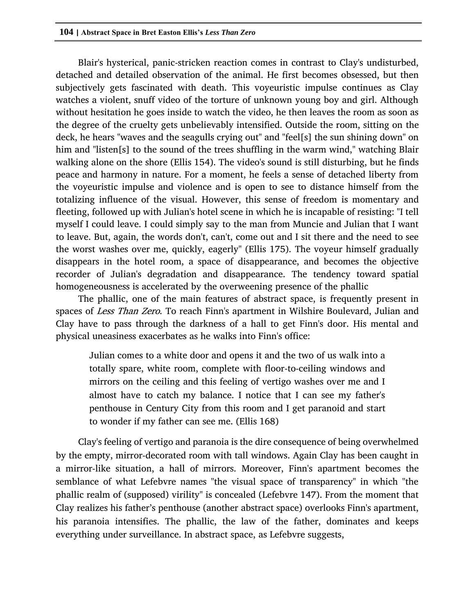Blair's hysterical, panic-stricken reaction comes in contrast to Clay's undisturbed, detached and detailed observation of the animal. He first becomes obsessed, but then subjectively gets fascinated with death. This voyeuristic impulse continues as Clay watches a violent, snuff video of the torture of unknown young boy and girl. Although without hesitation he goes inside to watch the video, he then leaves the room as soon as the degree of the cruelty gets unbelievably intensified. Outside the room, sitting on the deck, he hears "waves and the seagulls crying out" and "feel[s] the sun shining down" on him and "listen[s] to the sound of the trees shuffling in the warm wind," watching Blair walking alone on the shore (Ellis 154). The video's sound is still disturbing, but he finds peace and harmony in nature. For a moment, he feels a sense of detached liberty from the voyeuristic impulse and violence and is open to see to distance himself from the totalizing influence of the visual. However, this sense of freedom is momentary and fleeting, followed up with Julian's hotel scene in which he is incapable of resisting: "I tell myself I could leave. I could simply say to the man from Muncie and Julian that I want to leave. But, again, the words don't, can't, come out and I sit there and the need to see the worst washes over me, quickly, eagerly" (Ellis 175). The voyeur himself gradually disappears in the hotel room, a space of disappearance, and becomes the objective recorder of Julian's degradation and disappearance. The tendency toward spatial homogeneousness is accelerated by the overweening presence of the phallic

The phallic, one of the main features of abstract space, is frequently present in spaces of Less Than Zero. To reach Finn's apartment in Wilshire Boulevard, Julian and Clay have to pass through the darkness of a hall to get Finn's door. His mental and physical uneasiness exacerbates as he walks into Finn's office:

Julian comes to a white door and opens it and the two of us walk into a totally spare, white room, complete with floor-to-ceiling windows and mirrors on the ceiling and this feeling of vertigo washes over me and I almost have to catch my balance. I notice that I can see my father's penthouse in Century City from this room and I get paranoid and start to wonder if my father can see me. (Ellis 168)

Clay's feeling of vertigo and paranoia is the dire consequence of being overwhelmed by the empty, mirror-decorated room with tall windows. Again Clay has been caught in a mirror-like situation, a hall of mirrors. Moreover, Finn's apartment becomes the semblance of what Lefebvre names "the visual space of transparency" in which "the phallic realm of (supposed) virility" is concealed (Lefebvre 147). From the moment that Clay realizes his father's penthouse (another abstract space) overlooks Finn's apartment, his paranoia intensifies. The phallic, the law of the father, dominates and keeps everything under surveillance. In abstract space, as Lefebvre suggests,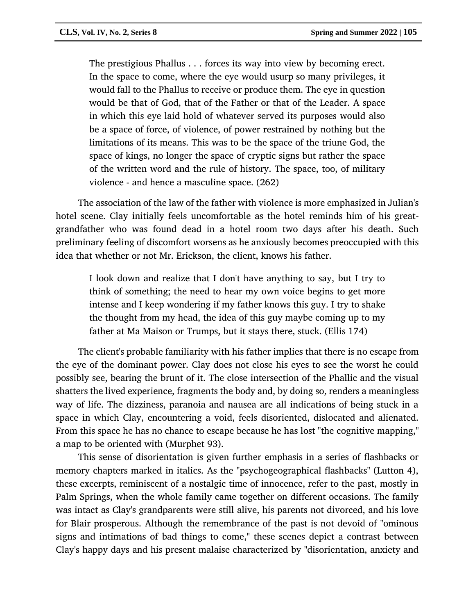The prestigious Phallus . . . forces its way into view by becoming erect. In the space to come, where the eye would usurp so many privileges, it would fall to the Phallus to receive or produce them. The eye in question would be that of God, that of the Father or that of the Leader. A space in which this eye laid hold of whatever served its purposes would also be a space of force, of violence, of power restrained by nothing but the limitations of its means. This was to be the space of the triune God, the space of kings, no longer the space of cryptic signs but rather the space of the written word and the rule of history. The space, too, of military violence - and hence a masculine space. (262)

The association of the law of the father with violence is more emphasized in Julian's hotel scene. Clay initially feels uncomfortable as the hotel reminds him of his greatgrandfather who was found dead in a hotel room two days after his death. Such preliminary feeling of discomfort worsens as he anxiously becomes preoccupied with this idea that whether or not Mr. Erickson, the client, knows his father.

I look down and realize that I don't have anything to say, but I try to think of something; the need to hear my own voice begins to get more intense and I keep wondering if my father knows this guy. I try to shake the thought from my head, the idea of this guy maybe coming up to my father at Ma Maison or Trumps, but it stays there, stuck. (Ellis 174)

The client's probable familiarity with his father implies that there is no escape from the eye of the dominant power. Clay does not close his eyes to see the worst he could possibly see, bearing the brunt of it. The close intersection of the Phallic and the visual shatters the lived experience, fragments the body and, by doing so, renders a meaningless way of life. The dizziness, paranoia and nausea are all indications of being stuck in a space in which Clay, encountering a void, feels disoriented, dislocated and alienated. From this space he has no chance to escape because he has lost "the cognitive mapping," a map to be oriented with (Murphet 93).

This sense of disorientation is given further emphasis in a series of flashbacks or memory chapters marked in italics. As the "psychogeographical flashbacks" (Lutton 4), these excerpts, reminiscent of a nostalgic time of innocence, refer to the past, mostly in Palm Springs, when the whole family came together on different occasions. The family was intact as Clay's grandparents were still alive, his parents not divorced, and his love for Blair prosperous. Although the remembrance of the past is not devoid of "ominous signs and intimations of bad things to come," these scenes depict a contrast between Clay's happy days and his present malaise characterized by "disorientation, anxiety and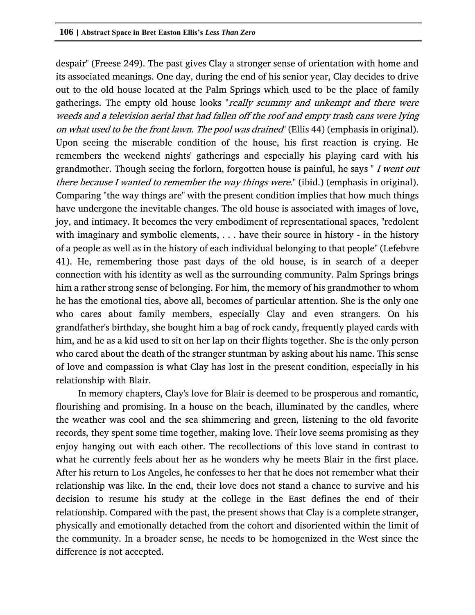despair" (Freese 249). The past gives Clay a stronger sense of orientation with home and its associated meanings. One day, during the end of his senior year, Clay decides to drive out to the old house located at the Palm Springs which used to be the place of family gatherings. The empty old house looks "really scummy and unkempt and there were weeds and a television aerial that had fallen off the roof and empty trash cans were lying on what used to be the front lawn. The pool was drained" (Ellis 44) (emphasis in original). Upon seeing the miserable condition of the house, his first reaction is crying. He remembers the weekend nights' gatherings and especially his playing card with his grandmother. Though seeing the forlorn, forgotten house is painful, he says "*I went out* there because I wanted to remember the way things were." (ibid.) (emphasis in original). Comparing "the way things are" with the present condition implies that how much things have undergone the inevitable changes. The old house is associated with images of love, joy, and intimacy. It becomes the very embodiment of representational spaces, "redolent with imaginary and symbolic elements, ... have their source in history - in the history of a people as well as in the history of each individual belonging to that people" (Lefebvre 41). He, remembering those past days of the old house, is in search of a deeper connection with his identity as well as the surrounding community. Palm Springs brings him a rather strong sense of belonging. For him, the memory of his grandmother to whom he has the emotional ties, above all, becomes of particular attention. She is the only one who cares about family members, especially Clay and even strangers. On his grandfather's birthday, she bought him a bag of rock candy, frequently played cards with him, and he as a kid used to sit on her lap on their flights together. She is the only person who cared about the death of the stranger stuntman by asking about his name. This sense of love and compassion is what Clay has lost in the present condition, especially in his relationship with Blair.

In memory chapters, Clay's love for Blair is deemed to be prosperous and romantic, flourishing and promising. In a house on the beach, illuminated by the candles, where the weather was cool and the sea shimmering and green, listening to the old favorite records, they spent some time together, making love. Their love seems promising as they enjoy hanging out with each other. The recollections of this love stand in contrast to what he currently feels about her as he wonders why he meets Blair in the first place. After his return to Los Angeles, he confesses to her that he does not remember what their relationship was like. In the end, their love does not stand a chance to survive and his decision to resume his study at the college in the East defines the end of their relationship. Compared with the past, the present shows that Clay is a complete stranger, physically and emotionally detached from the cohort and disoriented within the limit of the community. In a broader sense, he needs to be homogenized in the West since the difference is not accepted.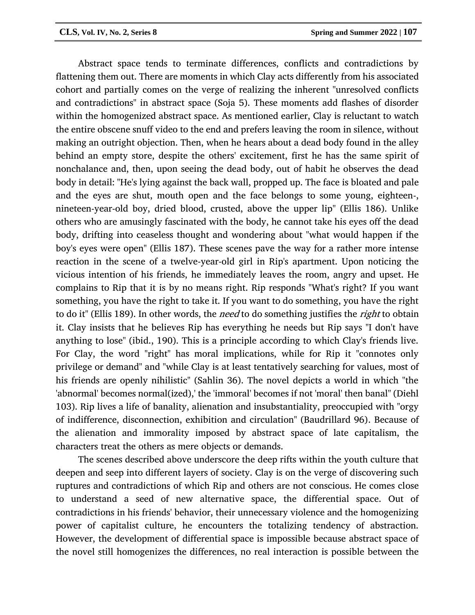Abstract space tends to terminate differences, conflicts and contradictions by flattening them out. There are moments in which Clay acts differently from his associated cohort and partially comes on the verge of realizing the inherent "unresolved conflicts and contradictions" in abstract space (Soja 5). These moments add flashes of disorder within the homogenized abstract space. As mentioned earlier, Clay is reluctant to watch the entire obscene snuff video to the end and prefers leaving the room in silence, without making an outright objection. Then, when he hears about a dead body found in the alley behind an empty store, despite the others' excitement, first he has the same spirit of nonchalance and, then, upon seeing the dead body, out of habit he observes the dead body in detail: "He's lying against the back wall, propped up. The face is bloated and pale and the eyes are shut, mouth open and the face belongs to some young, eighteen-, nineteen-year-old boy, dried blood, crusted, above the upper lip" (Ellis 186). Unlike others who are amusingly fascinated with the body, he cannot take his eyes off the dead body, drifting into ceaseless thought and wondering about "what would happen if the boy's eyes were open" (Ellis 187). These scenes pave the way for a rather more intense reaction in the scene of a twelve-year-old girl in Rip's apartment. Upon noticing the vicious intention of his friends, he immediately leaves the room, angry and upset. He complains to Rip that it is by no means right. Rip responds "What's right? If you want something, you have the right to take it. If you want to do something, you have the right to do it" (Ellis 189). In other words, the *need* to do something justifies the *right* to obtain it. Clay insists that he believes Rip has everything he needs but Rip says "I don't have anything to lose" (ibid., 190). This is a principle according to which Clay's friends live. For Clay, the word "right" has moral implications, while for Rip it "connotes only privilege or demand" and "while Clay is at least tentatively searching for values, most of his friends are openly nihilistic" (Sahlin 36). The novel depicts a world in which "the 'abnormal' becomes normal(ized),' the 'immoral' becomes if not 'moral' then banal" (Diehl 103). Rip lives a life of banality, alienation and insubstantiality, preoccupied with "orgy of indifference, disconnection, exhibition and circulation" (Baudrillard 96). Because of the alienation and immorality imposed by abstract space of late capitalism, the characters treat the others as mere objects or demands.

The scenes described above underscore the deep rifts within the youth culture that deepen and seep into different layers of society. Clay is on the verge of discovering such ruptures and contradictions of which Rip and others are not conscious. He comes close to understand a seed of new alternative space, the differential space. Out of contradictions in his friends' behavior, their unnecessary violence and the homogenizing power of capitalist culture, he encounters the totalizing tendency of abstraction. However, the development of differential space is impossible because abstract space of the novel still homogenizes the differences, no real interaction is possible between the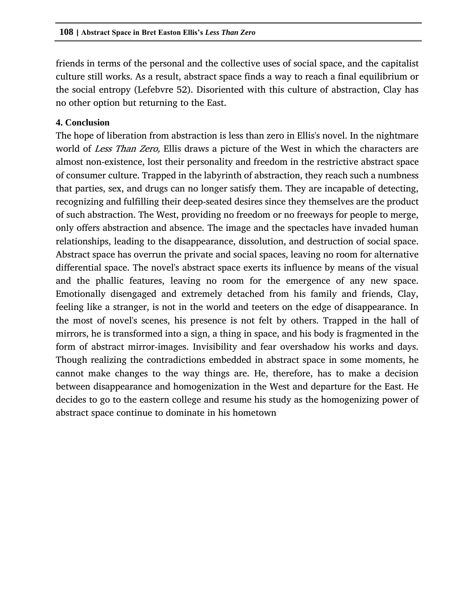friends in terms of the personal and the collective uses of social space, and the capitalist culture still works. As a result, abstract space finds a way to reach a final equilibrium or the social entropy (Lefebvre 52). Disoriented with this culture of abstraction, Clay has no other option but returning to the East.

#### **4. Conclusion**

The hope of liberation from abstraction is less than zero in Ellis's novel. In the nightmare world of *Less Than Zero*, Ellis draws a picture of the West in which the characters are almost non-existence, lost their personality and freedom in the restrictive abstract space of consumer culture. Trapped in the labyrinth of abstraction, they reach such a numbness that parties, sex, and drugs can no longer satisfy them. They are incapable of detecting, recognizing and fulfilling their deep-seated desires since they themselves are the product of such abstraction. The West, providing no freedom or no freeways for people to merge, only offers abstraction and absence. The image and the spectacles have invaded human relationships, leading to the disappearance, dissolution, and destruction of social space. Abstract space has overrun the private and social spaces, leaving no room for alternative differential space. The novel's abstract space exerts its influence by means of the visual and the phallic features, leaving no room for the emergence of any new space. Emotionally disengaged and extremely detached from his family and friends, Clay, feeling like a stranger, is not in the world and teeters on the edge of disappearance. In the most of novel's scenes, his presence is not felt by others. Trapped in the hall of mirrors, he is transformed into a sign, a thing in space, and his body is fragmented in the form of abstract mirror-images. Invisibility and fear overshadow his works and days. Though realizing the contradictions embedded in abstract space in some moments, he cannot make changes to the way things are. He, therefore, has to make a decision between disappearance and homogenization in the West and departure for the East. He decides to go to the eastern college and resume his study as the homogenizing power of abstract space continue to dominate in his hometown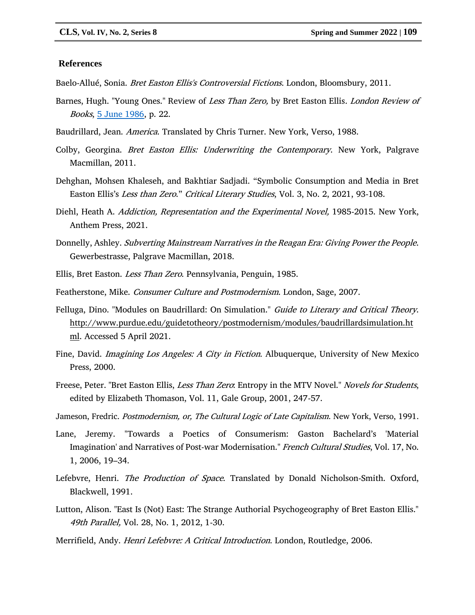#### **References**

Baelo-Allué, Sonia. *Bret Easton Ellis's Controversial Fictions*. London, Bloomsbury, 2011.

- Barnes, Hugh. "Young Ones." Review of Less Than Zero, by Bret Easton Ellis. London Review of Books, [5 June 1986,](https://www.lrb.co.uk/the-paper/v08/n10) p. 22.
- Baudrillard, Jean. America. Translated by Chris Turner. New York, Verso, 1988.
- Colby, Georgina. Bret Easton Ellis: Underwriting the Contemporary. New York, Palgrave Macmillan, 2011.
- Dehghan, Mohsen Khaleseh, and Bakhtiar Sadjadi. "Symbolic Consumption and Media in Bret Easton Ellis's Less than Zero." Critical Literary Studies, Vol. 3, No. 2, 2021, 93-108.
- Diehl, Heath A. Addiction, Representation and the Experimental Novel, 1985-2015. New York, Anthem Press, 2021.
- Donnelly, Ashley. Subverting Mainstream Narratives in the Reagan Era: Giving Power the People. Gewerbestrasse, Palgrave Macmillan, 2018.
- Ellis, Bret Easton. Less Than Zero. Pennsylvania, Penguin, 1985.
- Featherstone, Mike. Consumer Culture and Postmodernism. London, Sage, 2007.
- Felluga, Dino. "Modules on Baudrillard: On Simulation." Guide to Literary and Critical Theory. [http://www.purdue.edu/guidetotheory/postmodernism/modules/baudrillardsimulation.ht](http://www.purdue.edu/guidetotheory/postmodernism/modules/baudrillardsimulation.html) [ml.](http://www.purdue.edu/guidetotheory/postmodernism/modules/baudrillardsimulation.html) Accessed 5 April 2021.
- Fine, David. *Imagining Los Angeles: A City in Fiction*. Albuquerque, University of New Mexico Press, 2000.
- Freese, Peter. "Bret Easton Ellis, *Less Than Zero*: Entropy in the MTV Novel." *Novels for Students*, edited by Elizabeth Thomason, Vol. 11, Gale Group, 2001, 247-57.
- Jameson, Fredric. Postmodernism, or, The Cultural Logic of Late Capitalism. New York, Verso, 1991.
- Lane, Jeremy. "Towards a Poetics of Consumerism: Gaston Bachelard's 'Material Imagination' and Narratives of Post-war Modernisation." French Cultural Studies, Vol. 17, No. 1, 2006, 19–34.
- Lefebvre, Henri. The Production of Space. Translated by Donald Nicholson-Smith. Oxford, Blackwell, 1991.
- Lutton, Alison. "East Is (Not) East: The Strange Authorial Psychogeography of Bret Easton Ellis." 49th Parallel, Vol. 28, No. 1, 2012, 1-30.
- Merrifield, Andy. Henri Lefebvre: A Critical Introduction. London, Routledge, 2006.